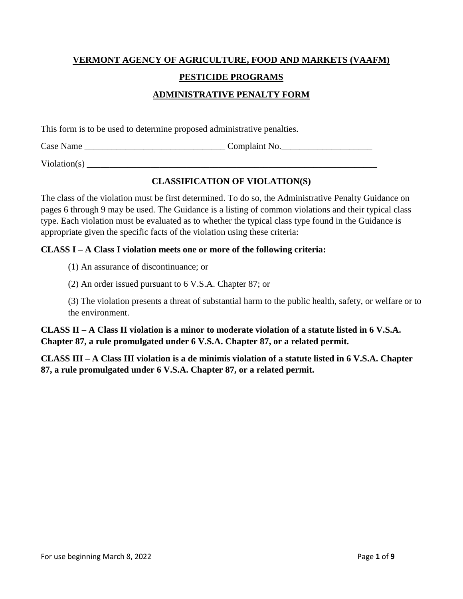# **VERMONT AGENCY OF AGRICULTURE, FOOD AND MARKETS (VAAFM) PESTICIDE PROGRAMS ADMINISTRATIVE PENALTY FORM**

This form is to be used to determine proposed administrative penalties.

Case Name \_\_\_\_\_\_\_\_\_\_\_\_\_\_\_\_\_\_\_\_\_\_\_\_\_\_\_\_\_\_\_ Complaint No.\_\_\_\_\_\_\_\_\_\_\_\_\_\_\_\_\_\_\_\_

 $\text{violation}(s)$ 

## **CLASSIFICATION OF VIOLATION(S)**

The class of the violation must be first determined. To do so, the Administrative Penalty Guidance on pages 6 through 9 may be used. The Guidance is a listing of common violations and their typical class type. Each violation must be evaluated as to whether the typical class type found in the Guidance is appropriate given the specific facts of the violation using these criteria:

#### **CLASS I – A Class I violation meets one or more of the following criteria:**

(1) An assurance of discontinuance; or

(2) An order issued pursuant to 6 V.S.A. Chapter 87; or

(3) The violation presents a threat of substantial harm to the public health, safety, or welfare or to the environment.

**CLASS II – A Class II violation is a minor to moderate violation of a statute listed in 6 V.S.A. Chapter 87, a rule promulgated under 6 V.S.A. Chapter 87, or a related permit.**

**CLASS III – A Class III violation is a de minimis violation of a statute listed in 6 V.S.A. Chapter 87, a rule promulgated under 6 V.S.A. Chapter 87, or a related permit.**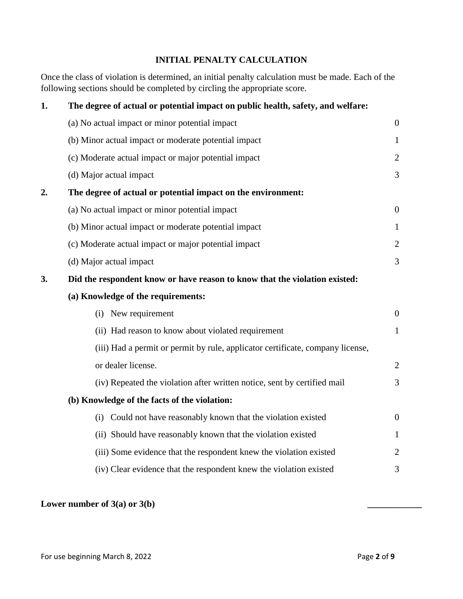# **INITIAL PENALTY CALCULATION**

Once the class of violation is determined, an initial penalty calculation must be made. Each of the following sections should be completed by circling the appropriate score.

| The degree of actual or potential impact on public health, safety, and welfare: |                  |  |  |
|---------------------------------------------------------------------------------|------------------|--|--|
| (a) No actual impact or minor potential impact                                  | $\boldsymbol{0}$ |  |  |
| (b) Minor actual impact or moderate potential impact                            | $\mathbf{1}$     |  |  |
| (c) Moderate actual impact or major potential impact                            | $\overline{2}$   |  |  |
| (d) Major actual impact                                                         | $\overline{3}$   |  |  |
| The degree of actual or potential impact on the environment:                    |                  |  |  |
| (a) No actual impact or minor potential impact                                  | $\overline{0}$   |  |  |
| (b) Minor actual impact or moderate potential impact                            | $\mathbf{1}$     |  |  |
| (c) Moderate actual impact or major potential impact                            | $\overline{2}$   |  |  |
| (d) Major actual impact                                                         | 3                |  |  |
| Did the respondent know or have reason to know that the violation existed:      |                  |  |  |
| (a) Knowledge of the requirements:                                              |                  |  |  |
| (i) New requirement                                                             | $\overline{0}$   |  |  |
| (ii) Had reason to know about violated requirement                              | $\mathbf{1}$     |  |  |
| (iii) Had a permit or permit by rule, applicator certificate, company license,  |                  |  |  |
| or dealer license.                                                              | $\overline{2}$   |  |  |
| (iv) Repeated the violation after written notice, sent by certified mail        | $\overline{3}$   |  |  |
| (b) Knowledge of the facts of the violation:                                    |                  |  |  |
| Could not have reasonably known that the violation existed<br>(i)               | $\overline{0}$   |  |  |
| (ii) Should have reasonably known that the violation existed                    | $\mathbf{1}$     |  |  |
| (iii) Some evidence that the respondent knew the violation existed              | $\overline{2}$   |  |  |
| (iv) Clear evidence that the respondent knew the violation existed              | 3                |  |  |
|                                                                                 |                  |  |  |

#### Lower number of 3(a) or 3(b)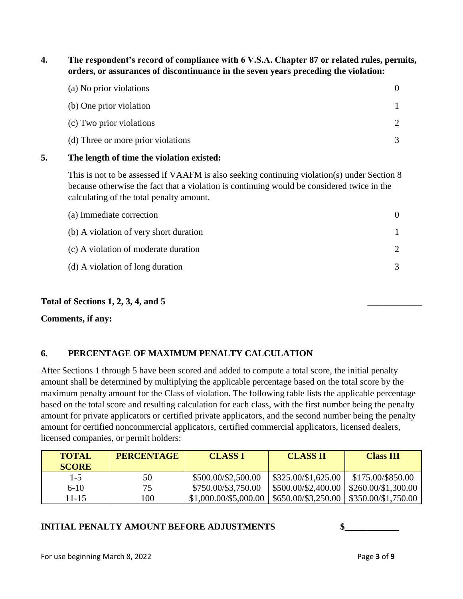**4. The respondent's record of compliance with 6 V.S.A. Chapter 87 or related rules, permits, orders, or assurances of discontinuance in the seven years preceding the violation:**

| (a) No prior violations            |  |
|------------------------------------|--|
| (b) One prior violation            |  |
| (c) Two prior violations           |  |
| (d) Three or more prior violations |  |

#### **5. The length of time the violation existed:**

This is not to be assessed if VAAFM is also seeking continuing violation(s) under Section 8 because otherwise the fact that a violation is continuing would be considered twice in the calculating of the total penalty amount.

| (a) Immediate correction               |  |
|----------------------------------------|--|
| (b) A violation of very short duration |  |
| (c) A violation of moderate duration   |  |
| (d) A violation of long duration       |  |

#### **Total of Sections 1, 2, 3, 4, and 5 \_\_\_\_\_\_\_\_\_\_\_\_**

#### **Comments, if any:**

#### **6. PERCENTAGE OF MAXIMUM PENALTY CALCULATION**

After Sections 1 through 5 have been scored and added to compute a total score, the initial penalty amount shall be determined by multiplying the applicable percentage based on the total score by the maximum penalty amount for the Class of violation. The following table lists the applicable percentage based on the total score and resulting calculation for each class, with the first number being the penalty amount for private applicators or certified private applicators, and the second number being the penalty amount for certified noncommercial applicators, certified commercial applicators, licensed dealers, licensed companies, or permit holders:

| <b>TOTAL</b><br><b>SCORE</b> | <b>PERCENTAGE</b> | <b>CLASS I</b>        | <b>CLASS II</b>     | <b>Class III</b>                  |
|------------------------------|-------------------|-----------------------|---------------------|-----------------------------------|
| $1 - 5$                      | 50                | \$500.00/\$2,500.00   | \$325.00/\$1,625.00 | \$175.00/\$850.00                 |
| $6-10$                       | 75                | \$750.00/\$3,750.00   | \$500.00/\$2,400.00 | \$260.00/\$1,300.00               |
| 11-15                        | 100               | \$1,000.00/\$5,000.00 | \$650.00/\$3,250.00 | $\frac{1}{2}$ \$350.00/\$1,750.00 |

#### **INITIAL PENALTY AMOUNT BEFORE ADJUSTMENTS**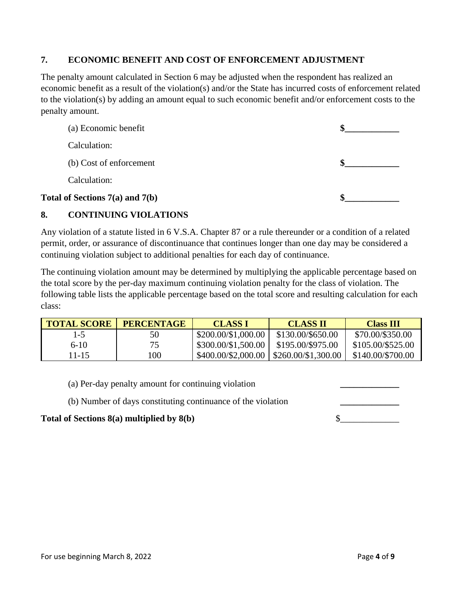#### **7. ECONOMIC BENEFIT AND COST OF ENFORCEMENT ADJUSTMENT**

The penalty amount calculated in Section 6 may be adjusted when the respondent has realized an economic benefit as a result of the violation(s) and/or the State has incurred costs of enforcement related to the violation(s) by adding an amount equal to such economic benefit and/or enforcement costs to the penalty amount.

| Total of Sections 7(a) and 7(b) |  |
|---------------------------------|--|
| Calculation:                    |  |
| (b) Cost of enforcement         |  |
| Calculation:                    |  |
| (a) Economic benefit            |  |

#### **8. CONTINUING VIOLATIONS**

Any violation of a statute listed in 6 V.S.A. Chapter 87 or a rule thereunder or a condition of a related permit, order, or assurance of discontinuance that continues longer than one day may be considered a continuing violation subject to additional penalties for each day of continuance.

The continuing violation amount may be determined by multiplying the applicable percentage based on the total score by the per-day maximum continuing violation penalty for the class of violation. The following table lists the applicable percentage based on the total score and resulting calculation for each class:

| <b>TOTAL SCORE</b> | <b>PERCENTAGE</b> | <b>CLASS I</b>      | <b>CLASS II</b>           | <b>Class III</b>  |
|--------------------|-------------------|---------------------|---------------------------|-------------------|
| $1-5$              | 50                | \$200.00/\$1,000.00 | \$130.00/\$650.00         | \$70.00/\$350.00  |
| $6-10$             | 75                | \$300.00/\$1,500.00 | \$195.00/\$975.00         | \$105.00/\$525.00 |
| 11-15              | 100               | \$400.00/\$2,000.00 | $\frac{260.00}{1,300.00}$ | \$140.00/\$700.00 |

(a) Per-day penalty amount for continuing violation **\_\_\_\_\_\_\_\_\_\_\_\_\_**

(b) Number of days constituting continuance of the violation **\_\_\_\_\_\_\_\_\_\_\_\_\_**

#### **Total of Sections 8(a) multiplied by 8(b)** \$\_\_\_\_\_\_\_\_\_\_\_\_\_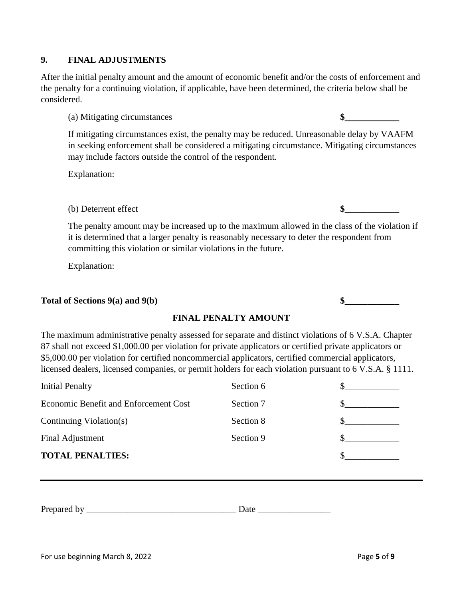# **9. FINAL ADJUSTMENTS**

After the initial penalty amount and the amount of economic benefit and/or the costs of enforcement and the penalty for a continuing violation, if applicable, have been determined, the criteria below shall be considered.

(a) Mitigating circumstances **\$\_\_\_\_\_\_\_\_\_\_\_\_**

If mitigating circumstances exist, the penalty may be reduced. Unreasonable delay by VAAFM in seeking enforcement shall be considered a mitigating circumstance. Mitigating circumstances may include factors outside the control of the respondent.

Explanation:

(b) Deterrent effect **\$** 

The penalty amount may be increased up to the maximum allowed in the class of the violation if it is determined that a larger penalty is reasonably necessary to deter the respondent from committing this violation or similar violations in the future.

Explanation:

### Total of Sections 9(a) and 9(b)  $\qquad$  **\$**

#### **FINAL PENALTY AMOUNT**

The maximum administrative penalty assessed for separate and distinct violations of 6 V.S.A. Chapter 87 shall not exceed \$1,000.00 per violation for private applicators or certified private applicators or \$5,000.00 per violation for certified noncommercial applicators, certified commercial applicators, licensed dealers, licensed companies, or permit holders for each violation pursuant to 6 V.S.A. § 1111.

| <b>TOTAL PENALTIES:</b>               |           |  |
|---------------------------------------|-----------|--|
| Final Adjustment                      | Section 9 |  |
| Continuing Violation(s)               | Section 8 |  |
| Economic Benefit and Enforcement Cost | Section 7 |  |
| <b>Initial Penalty</b>                | Section 6 |  |

Prepared by \_\_\_\_\_\_\_\_\_\_\_\_\_\_\_\_\_\_\_\_\_\_\_\_\_\_\_\_\_\_\_\_\_ Date \_\_\_\_\_\_\_\_\_\_\_\_\_\_\_\_

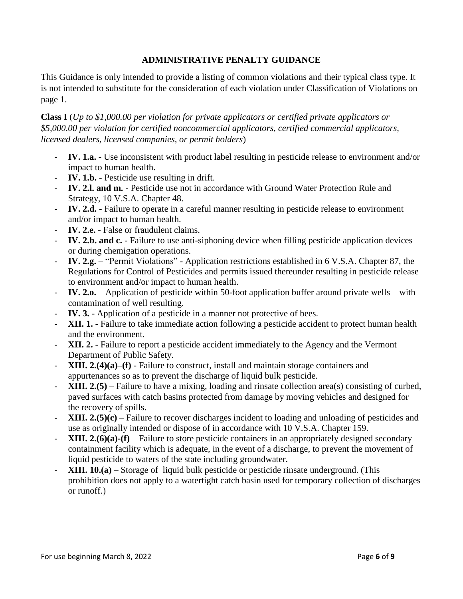### **ADMINISTRATIVE PENALTY GUIDANCE**

This Guidance is only intended to provide a listing of common violations and their typical class type. It is not intended to substitute for the consideration of each violation under Classification of Violations on page 1.

**Class I** (*Up to \$1,000.00 per violation for private applicators or certified private applicators or \$5,000.00 per violation for certified noncommercial applicators, certified commercial applicators, licensed dealers, licensed companies, or permit holders*)

- **IV. 1.a.** Use inconsistent with product label resulting in pesticide release to environment and/or impact to human health.
- **IV. 1.b.** Pesticide use resulting in drift.
- **IV. 2.l. and m.** Pesticide use not in accordance with Ground Water Protection Rule and Strategy, 10 V.S.A. Chapter 48.
- **IV. 2.d.** Failure to operate in a careful manner resulting in pesticide release to environment and/or impact to human health.
- **IV. 2.e.** False or fraudulent claims.
- **IV. 2.b. and c.** Failure to use anti-siphoning device when filling pesticide application devices or during chemigation operations.
- **IV. 2.g.** "Permit Violations" Application restrictions established in 6 V.S.A. Chapter 87, the Regulations for Control of Pesticides and permits issued thereunder resulting in pesticide release to environment and/or impact to human health.
- **IV. 2.o.** Application of pesticide within 50-foot application buffer around private wells with contamination of well resulting.
- IV. 3. Application of a pesticide in a manner not protective of bees.
- **XII. 1.** Failure to take immediate action following a pesticide accident to protect human health and the environment.
- **XII. 2.** Failure to report a pesticide accident immediately to the Agency and the Vermont Department of Public Safety.
- **XIII. 2.(4)(a)–(f)** Failure to construct, install and maintain storage containers and appurtenances so as to prevent the discharge of liquid bulk pesticide.
- **XIII. 2.(5)** Failure to have a mixing, loading and rinsate collection area(s) consisting of curbed, paved surfaces with catch basins protected from damage by moving vehicles and designed for the recovery of spills.
- **XIII. 2.(5)(c)** Failure to recover discharges incident to loading and unloading of pesticides and use as originally intended or dispose of in accordance with 10 V.S.A. Chapter 159.
- **XIII. 2.(6)(a)-(f)** Failure to store pesticide containers in an appropriately designed secondary containment facility which is adequate, in the event of a discharge, to prevent the movement of liquid pesticide to waters of the state including groundwater.
- **XIII. 10.(a)** Storage of liquid bulk pesticide or pesticide rinsate underground. (This prohibition does not apply to a watertight catch basin used for temporary collection of discharges or runoff.)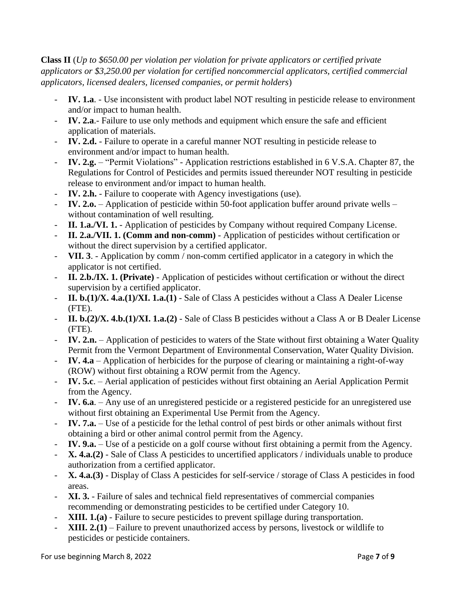**Class II** (*Up to \$650.00 per violation per violation for private applicators or certified private applicators or \$3,250.00 per violation for certified noncommercial applicators, certified commercial applicators, licensed dealers, licensed companies, or permit holders*)

- IV. 1.a. Use inconsistent with product label NOT resulting in pesticide release to environment and/or impact to human health.
- **IV. 2.a**.- Failure to use only methods and equipment which ensure the safe and efficient application of materials.
- **IV. 2.d.** Failure to operate in a careful manner NOT resulting in pesticide release to environment and/or impact to human health.
- **IV. 2.g.** "Permit Violations" Application restrictions established in 6 V.S.A. Chapter 87, the Regulations for Control of Pesticides and permits issued thereunder NOT resulting in pesticide release to environment and/or impact to human health.
- IV. 2.h. Failure to cooperate with Agency investigations (use).
- **IV. 2.o.** Application of pesticide within 50-foot application buffer around private wells without contamination of well resulting.
- **II. 1.a./VI. 1.** Application of pesticides by Company without required Company License.
- **II. 2.a./VII. 1. (Comm and non-comm)** Application of pesticides without certification or without the direct supervision by a certified applicator.
- **VII. 3**. Application by comm / non-comm certified applicator in a category in which the applicator is not certified.
- **II. 2.b./IX. 1. (Private)** Application of pesticides without certification or without the direct supervision by a certified applicator.
- **II. b.(1)/X. 4.a.(1)/XI. 1.a.(1)** Sale of Class A pesticides without a Class A Dealer License (FTE).
- **II. b.(2)/X. 4.b.(1)/XI. 1.a.(2)** Sale of Class B pesticides without a Class A or B Dealer License (FTE).
- **IV. 2.n.** Application of pesticides to waters of the State without first obtaining a Water Quality Permit from the Vermont Department of Environmental Conservation, Water Quality Division.
- **IV. 4.a** Application of herbicides for the purpose of clearing or maintaining a right-of-way (ROW) without first obtaining a ROW permit from the Agency.
- **IV. 5.c**. Aerial application of pesticides without first obtaining an Aerial Application Permit from the Agency.
- **IV. 6.a**. Any use of an unregistered pesticide or a registered pesticide for an unregistered use without first obtaining an Experimental Use Permit from the Agency.
- **IV. 7.a.** Use of a pesticide for the lethal control of pest birds or other animals without first obtaining a bird or other animal control permit from the Agency.
- **IV. 9.a.** Use of a pesticide on a golf course without first obtaining a permit from the Agency.
- **X. 4.a.(2)** Sale of Class A pesticides to uncertified applicators / individuals unable to produce authorization from a certified applicator.
- **X. 4.a.(3)** Display of Class A pesticides for self-service / storage of Class A pesticides in food areas.
- **XI. 3.** Failure of sales and technical field representatives of commercial companies recommending or demonstrating pesticides to be certified under Category 10.
- **XIII. 1.(a)** Failure to secure pesticides to prevent spillage during transportation.
- **XIII. 2.(1)** Failure to prevent unauthorized access by persons, livestock or wildlife to pesticides or pesticide containers.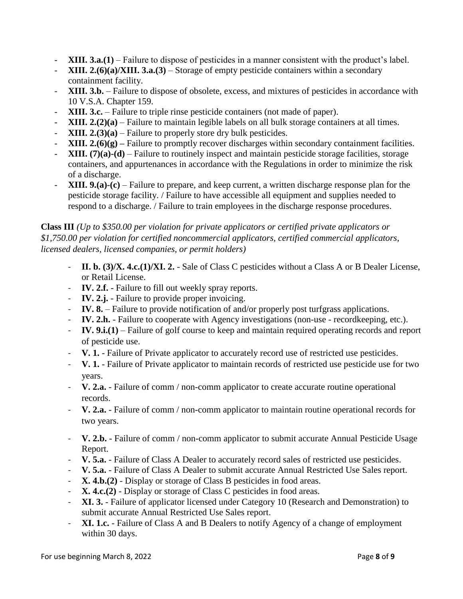- **XIII. 3.a.(1)** Failure to dispose of pesticides in a manner consistent with the product's label.
- **XIII. 2.(6)(a)/XIII. 3.a.(3)** Storage of empty pesticide containers within a secondary containment facility.
- **XIII. 3.b.** Failure to dispose of obsolete, excess, and mixtures of pesticides in accordance with 10 V.S.A. Chapter 159.
- **XIII. 3.c.** Failure to triple rinse pesticide containers (not made of paper).
- **XIII. 2.(2)(a)** Failure to maintain legible labels on all bulk storage containers at all times.
- **XIII. 2.(3)(a)** Failure to properly store dry bulk pesticides.
- **XIII. 2.(6)(g)** Failure to promptly recover discharges within secondary containment facilities.
- **XIII.** (7)(a)-(d) Failure to routinely inspect and maintain pesticide storage facilities, storage containers, and appurtenances in accordance with the Regulations in order to minimize the risk of a discharge.
- **XIII. 9.(a)-(c)** Failure to prepare, and keep current, a written discharge response plan for the pesticide storage facility. / Failure to have accessible all equipment and supplies needed to respond to a discharge. / Failure to train employees in the discharge response procedures.

# **Class III** *(Up to \$350.00 per violation for private applicators or certified private applicators or \$1,750.00 per violation for certified noncommercial applicators, certified commercial applicators, licensed dealers, licensed companies, or permit holders)*

- **II. b. (3)/X. 4.c.(1)/XI. 2.** Sale of Class C pesticides without a Class A or B Dealer License, or Retail License.
- **IV. 2.f.** Failure to fill out weekly spray reports.
- **IV. 2.j.** Failure to provide proper invoicing.
- **IV. 8.** Failure to provide notification of and/or properly post turfgrass applications.
- **IV. 2.h.** Failure to cooperate with Agency investigations (non-use recordkeeping, etc.).
- **IV. 9.i.(1)** Failure of golf course to keep and maintain required operating records and report of pesticide use.
- **V. 1.** Failure of Private applicator to accurately record use of restricted use pesticides.
- **V. 1.** Failure of Private applicator to maintain records of restricted use pesticide use for two years.
- **V. 2.a.** Failure of comm / non-comm applicator to create accurate routine operational records.
- **V. 2.a.** Failure of comm / non-comm applicator to maintain routine operational records for two years.
- **V. 2.b.** Failure of comm / non-comm applicator to submit accurate Annual Pesticide Usage Report.
- **V. 5.a.** Failure of Class A Dealer to accurately record sales of restricted use pesticides.
- **V. 5.a.** Failure of Class A Dealer to submit accurate Annual Restricted Use Sales report.
- **X. 4.b.(2)**  Display or storage of Class B pesticides in food areas.
- **X. 4.c.(2)** Display or storage of Class C pesticides in food areas.
- **XI. 3.** Failure of applicator licensed under Category 10 (Research and Demonstration) to submit accurate Annual Restricted Use Sales report.
- **XI. 1.c.** Failure of Class A and B Dealers to notify Agency of a change of employment within 30 days.